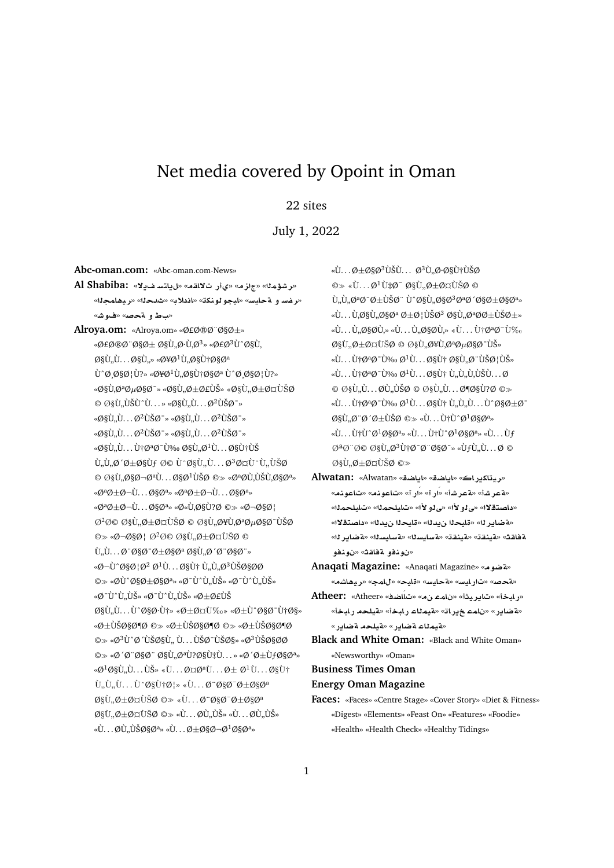# Net media covered by Opoint in Oman

## 22 sites

July 1, 2022

**Abc-oman.com:** «Abc-oman.com-News»

**Al Shabiba:** «**¯§ FtA§**» «**qA¯ C©**» «**z**» «**m¥Jr**» «**رغسو قحايس» «ليجو لونك**ة» «اندلاد» «ثدحلا» «ريضامجلا» «**ساط و ةحص» «فوش»** 

**Alroya.om:** «Alroya.om» «Ø£Ø®Ø¨Ø§Ø±» «Ø£Ø®Ø¨Ø§Ø± اÙ"Ø∙Ù,Ø<sup>3</sup>» «Ø£Ø<sup>3</sup>Ù^اÙ,  $\emptyset$ SÙ,,Ù... $\emptyset$ SÙ,,» «Ø¥Ø<sup>1</sup>Ù, ØSÙ†ØSØ<sup>a</sup>  $\dot{U}^{\alpha}\emptyset$   $\emptyset$ § $\emptyset$ | $\dot{U}$ ?» «Ø¥Ø<sup>1</sup> $\dot{U}$ ,ا $\dot{U}$ †Ø§Øª  $\dot{U}^{\alpha}\emptyset$  ائ $\dot{U}$ ?» «Ø§Ù,تصاØ~» «Ø§Ù"رأي» «Ø§Ù,,رؤÙŠØ  $\odot$  اÙ, ÙŠÙ^Ù...» «Ø§Ù, Ù... Ø<sup>2</sup>ÙŠØ<sup>-</sup>»  $\alpha$ §Ù"Ù... $\varnothing$ <sup>2</sup>ÙŠØ<sup>-</sup>» «Ø§Ù"Ù... $\varnothing$ <sup>2</sup>ÙŠØ<sup>-</sup>»  $\alpha \ll 0$ §Ù"Ù... $\varnothing^2$ يد»  $\alpha \ll 0$ §Ù"Ù... $\varnothing^2$ يد»  $\alpha$ 9§Ù"Ù...نتدىاÙ"Ø $1$ Ù...اني  $\dot{U}_n \dot{U}_n \mathcal{O}' \mathcal{O} \pm \mathcal{O} \S \dot{U} f \mathcal{O} \mathcal{O} \dot{U}^c \tilde{U} \ldots \mathcal{O}^3 \mathcal{O} \boxtimes \dot{U}^c \dot{U} \ldots \dot{U} \tilde{S} \mathcal{O}$  $\odot$  اÙ, اØ $\neg$ تÙ... اØ $1$ ÙŠØ  $\odot$  «ØªØÙ,ÙŠÙ,ات»  $\alpha\varnothing^a\varnothing+\varnothing\neg\dot{\mathbf{U}}\dots\varnothing\varnothing\varnothing^{a_{\infty}}\alpha\varnothing^a\varnothing+\varnothing\neg\dot{\mathbf{U}}\dots\varnothing\varnothing\varnothing^{a_{\infty}}$ «ØªØ±Ø¬Ù. . . ات» «Ø«Ù'اÙ?Ø © «Ø¬ائ  $O^2$ ة اÙ"Ø $\pm$ ؤÙŠØ © اÙ"Ø¥Ù,تصادÙŠØ  $\circledcirc$  ǯ¯§Ø¦ Ø $^2$ ة اÙ"Ø $\pm$ ؤÙŠØ ©  $\Upsilon$ " $\omega$ " $\omega$ \s $\varphi$ = $\varphi$  $\pm \varphi$ s $\varphi$ a  $\varphi$ s $\Upsilon$ " $\varphi$ s $\varphi$ "» «Ø¬Ù^ائØ<sup>2</sup> Ø<sup>1</sup>Ù... اÙ† Ù"Ù"Ø<sup>3</sup>ياØØ ©» «ØÙ^ارات» «Ø¯Ù^Ù"ÙŠ» «Ø¯Ù^Ù"ÙŠ» «Ø¯Ù^Ù"ÙŠ» «Ø¯Ù^Ù"ÙŠ» «Ø±Ø£ÙŠ  $\mathcal{O}\S\mathcal{V}$ ...  $\mathcal{U}^{\wedge}\mathcal{O}\S\mathcal{O} \cdot \mathcal{V}^{\dagger}$  « $\mathcal{O}\pm\mathcal{O}$  $\boxtimes \mathcal{V}$  « $\mathcal{O}\pm \mathcal{V}^{\wedge}$  $\mathcal{O}\S\mathcal{O} \cdot \mathcal{V}^{\dagger}$  $\mathcal{O}\S$ »  $\omega \otimes \psi$ ي $\omega \otimes \psi$ ي $\omega \otimes \psi$ ي $\omega \otimes \psi$ ي $\omega \otimes \psi$ ي  $\circledcirc$  « $\emptyset$ <sup>3</sup>Ù°Ø'ياÙ.. Ù... ÙŠØ<sup>-</sup>يا» «Ø<sup>3</sup>ياØØ  $\circledcirc$  <  $\circledcirc$  ' $\circledcirc$   $\circledcirc$  ' $\circledcirc$  ' $\circledcirc$  ' $\circledcirc$  ' $\circledcirc$  ' $\circledcirc$  ' $\circledcirc$  ' $\circledcirc$  ' $\circledcirc$  ' $\circledcirc$  ' $\circledcirc$  ' $\circledcirc$  ' $\circ$  ' $\circledcirc$  ' $\circ$  ' $\circledcirc$  ' $\circ$  ' $\circ$  ' $\circ$  ' $\circ$  ' $\circ$  ' $\circ$  ' $\circ$  ' $\circ$  ' $\circ$  ' $\circ$  ' $\circ$  ' $\circ$  ' $\mathscr{A}^1 \mathscr{A} \mathscr{B}$ ù,  $\mathring{U}$ . . .  $\mathring{U}$ š»  $\mathscr{A} \dot{U}$ . . .  $\mathscr{A} \mathscr{B}$ u $\mathring{U}$ . . .  $\mathscr{B}$  $\mathscr{B}$ u $\dagger$  $\tilde{U}_{\cdot\cdot}\tilde{U}_{\cdot\cdot}\tilde{U}_{\cdot\cdot}\ldots\tilde{U}_{\cdot\cdot}\tilde{W}_{\cdot}$   $\tilde{U}_{\cdot\cdot}\ldots\tilde{V}_{\cdot}\tilde{W}_{\cdot}$   $\tilde{W}_{\cdot}\tilde{U}_{\cdot\cdot}\ldots\tilde{W}_{\cdot}\tilde{W}_{\cdot}$  $\mathcal{O}\S\hat{U}$   $\mathcal{O}\pm\mathcal{O}\gamma\hat{U}\tilde{S}\mathcal{O}$   $\mathcal{O}\gg\langle\hat{U}\dots\mathcal{O}^{\dagger}\mathcal{O}\S\mathcal{O}^{-}\mathcal{O}\pm\mathcal{O}\S\mathcal{O}^{a}$  $\mathcal{O}\S\dot{\mathbf{U}}, \mathcal{O}\pm\mathcal{O}\boxtimes\dot{\mathbf{U}}\S\otimes \ll\dot{\mathbf{U}}\dots\mathcal{O}\dot{\mathbf{U}}, \dot{\mathbf{U}}\check{\mathbf{S}}\times\dot{\mathbf{U}}\dots\mathcal{O}\dot{\mathbf{U}}, \dot{\mathbf{U}}\check{\mathbf{S}}\times\dot{\mathbf{U}}\times\dot{\mathbf{U}}\S\to\mathbf{V}\S\to\mathbf{V}\S\to\mathbf{V}\S\to\mathbf{V}\S\to\mathbf{V}\S\to\mathbf{V}\S\to\mathbf{V}\S\to\mathbf{V}\S\$  $\langle \hat{U}, \ldots \hat{Q} \hat{U}, \hat{U} \rangle$ ŠØ§Ø $a_{\nu}$  «Ù... $\emptyset \pm \emptyset$ §Ø $\neg$ Ø $\frac{1}{9}$ اØ $a_{\nu}$ 

 $\ddot{\mathcal{W}}$ ... $\mathcal{D}_{\pm}\mathcal{D}_{\pm}\mathcal{D}_{\pm}\mathcal{D}_{\pm}\mathcal{D}_{\pm}\mathcal{D}_{\pm}\mathcal{D}_{\pm}\mathcal{D}_{\pm}\mathcal{D}_{\pm}\mathcal{D}_{\pm}\mathcal{D}_{\pm}\mathcal{D}_{\pm}\mathcal{D}_{\pm}\mathcal{D}_{\pm}\mathcal{D}_{\pm}\mathcal{D}_{\pm}\mathcal{D}_{\pm}\mathcal{D}_{\pm}\mathcal{D}_{\pm}\mathcal{D}_{\pm}\mathcal{D}_{\pm}\mathcal{D}_{\pm}\mathcal{D}_{\pm}\mathcal{D}_{\pm}\mathcal{D}_{\pm}\mathcal{D}_{$  $\circledcirc \times \cdot \cdot U \dots \emptyset^1 U \ddagger \emptyset^- \emptyset \S \dot{U}, \emptyset \pm \emptyset \text{rel} \delta \emptyset \circledcirc$  $\dot{U}$ .  $\dot{U}$ .  $\emptyset$  $\emptyset$   $\emptyset$   $\emptyset$   $\emptyset$   $\emptyset$   $\emptyset$   $\emptyset$   $\emptyset$   $\emptyset$   $\emptyset$   $\emptyset$   $\emptyset$   $\emptyset$   $\emptyset$   $\emptyset$   $\emptyset$   $\emptyset$   $\emptyset$   $\emptyset$   $\emptyset$   $\emptyset$   $\emptyset$   $\emptyset$   $\emptyset$   $\emptyset$   $\emptyset$   $\emptyset$   $\emptyset$   $\emptyset$   $\emptyset$   $\emptyset$   $\emptyset$   $\emptyset$   $\alpha$ i... Ù.اÙ..ات Ø $\pm$ ئÙŠØ $^3$  اÙ..تØØ $\pm$ ÙŠØ $\pm$ »  $\langle \hat{U} \dots \hat{U} \rangle$   $\langle \hat{\theta} \rangle$   $\langle \hat{U} \dots \hat{U} \rangle$   $\langle \hat{\theta} \rangle$   $\langle \hat{U} \rangle$   $\langle \hat{U} \dots \hat{U} \hat{U} \hat{\theta}^a \hat{\theta} \hat{U} \rangle$   $\langle \hat{U} \rangle$  $\mathcal{O}\S$ U,  $\mathcal{O}\pm\mathcal{O}\mathbb{C}$ UŠØ  $\odot$   $\mathcal{O}\S$ U,  $\mathcal{O}\S$ U,  $\mathcal{O}\mathbb{C}$ u $\mathcal{O}\S$  $\mathcal{O}$   $\circ$ UŠ»  $\mathbf{w}$ . .  $\mathbf{U}$ + $\varnothing$ <sup>2</sup> $\varnothing$  <sup>-</sup> $\mathbf{U}$ ‰  $\varnothing$ <sup>1</sup>Ù. . .  $\varnothing$ §Ù+ $\varnothing$ §Ù, $\varnothing$  · ÙŠ $\varnothing$  | ÙŠ»  $\langle \mathbf{u} \cdot \mathbf{v} \cdot \mathbf{v} \cdot \mathbf{v} \cdot \mathbf{v} \cdot \mathbf{v} \cdot \mathbf{v} \cdot \mathbf{v} \cdot \mathbf{v} \cdot \mathbf{v} \cdot \mathbf{v} \cdot \mathbf{v} \cdot \mathbf{v} \cdot \mathbf{v} \cdot \mathbf{v} \cdot \mathbf{v} \cdot \mathbf{v} \cdot \mathbf{v} \cdot \mathbf{v} \cdot \mathbf{v} \cdot \mathbf{v} \cdot \mathbf{v} \cdot \mathbf{v} \cdot \mathbf{v} \cdot \mathbf{v} \cdot \mathbf{v} \cdot \mathbf{v} \cdot \math$  $\circ$  اÙ"Ù...ØÙ"ÙŠØ  $\circ$  اÙ"Ù...ضاÙ?Ø  $\circ$  $\mathbf{w}$ .  $\mathbf{U}$   $\mathbf{W}$   $\mathbf{W}$   $\mathbf{W}$   $\mathbf{W}$   $\mathbf{W}$   $\mathbf{W}$  . .  $\mathbf{W}$   $\mathbf{W}$  . .  $\mathbf{W}$   $\mathbf{W}$   $\mathbf{W}$   $\mathbf{W}$   $\mathbf{W}$   $\mathbf{W}$   $\mathbf{W}$   $\mathbf{W}$   $\mathbf{W}$   $\mathbf{W}$   $\mathbf{W}$   $\mathbf{W}$   $\mathbf{W}$   $\mathbf{$  $\mathcal{O}\S$ Ù, Ø "Ø  $\mathcal{O}\pm\dot{\mathrm{U}}\check{\mathrm{S}}\mathcal{O}\ \otimes\cdots$   $\dot{\mathrm{U}}$  :  $\dot{\mathrm{U}}$   $\dagger\dot{\mathrm{U}}$   $\circ$   $\mathcal{O}^1\mathcal{O}\S\mathcal{O}^{\mathrm{a}_{\mathrm{w}}}$  $\langle \hat{U}, \ldots \hat{U} \hat{U} \hat{U}^{\wedge} \mathcal{O}^{1} \mathcal{O} \S \mathcal{O}^{a_{\mathrm{w}}} \times \hat{U} \ldots \hat{U} \hat{U}^{\wedge} \mathcal{O}^{1} \mathcal{O} \S \mathcal{O}^{a_{\mathrm{w}}} \times \hat{U} \ldots \hat{U} \hat{J}$  $\mathcal{O}^{\underline{a}}\mathcal{O}^{\cdot}\mathcal{O}\mathcal{O}$   $\mathcal{O}(\underline{s}\mathcal{O}), \mathcal{O}^{\underline{3}}\mathcal{O}$  to  $\mathcal{O}^{\cdot}\mathcal{O}$   $\mathcal{O}^{\cdot}$  which is the  $\mathcal{O}$   $\mathcal{O}$  $\emptyset$ §Ù"Ø $\pm$ ؤÙŠØ © $\gg$ 

- «بيتاكيراك» «اياضة» «اياضة» «Alwatan» **Alwatan:** «هتمر شأ» «هتمر شأ» «اَر آ» «اَر آ» «تاعولنه» «تاعولنه» «**mlyA**» «**mlyA**» «**±¤Y**» «**±¤Y**» «**¯tOA** » «**مةضاير ل**ا» «قايحلا ن.يدلله «قايحلا ن.يدلله «داصتقلاله» «**r§ART**» «**syAFT**» «**syAFT**» «**qnyT**» «**qnyT**» «**qAT ¤nw** » «**qAT ¤nw** »
- **Anaqati Magazine:** «Anaqati Magazine» «**wRT**» «**KA¡yr**» «**mA**» «**yA**» «**FyAT**» «**FyAC**» «**}T**»
- **Atheer:** «Atheer» «**SAÁA**» « **mA** » «**yr§A**» «**bAC**» «**فضاير» «نامء خيراته «فيملاء رابخ**أ» «فيلحه رابخأ» «**لقيمناء لقضاير» «لقيلحه لقضاير»**
- **Black and White Oman:** «Black and White Oman» «Newsworthy» «Oman»
- **Business Times Oman**
- **Energy Oman Magazine**
- **Faces:** «Faces» «Centre Stage» «Cover Story» «Diet & Fitness» «Digest» «Elements» «Feast On» «Features» «Foodie» «Health» «Health Check» «Healthy Tidings»